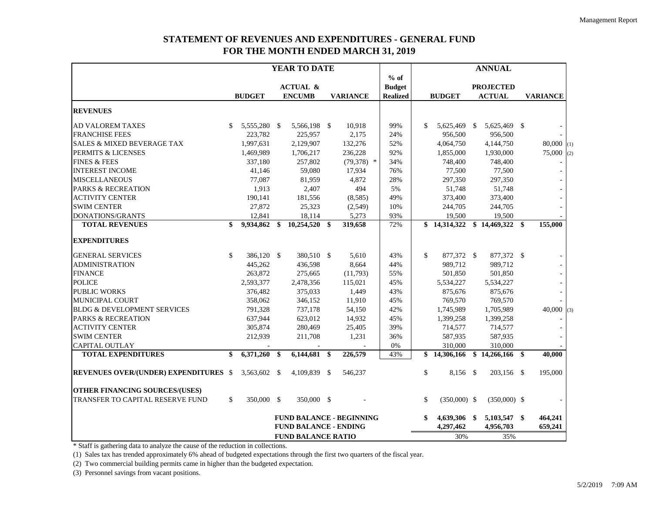## **STATEMENT OF REVENUES AND EXPENDITURES - GENERAL FUND FOR THE MONTH ENDED MARCH 31, 2019**

|                                              |                           | YEAR TO DATE                 |    |                                 |  |                 |  | <b>ANNUAL</b>   |              |                |     |                  |    |                          |     |
|----------------------------------------------|---------------------------|------------------------------|----|---------------------------------|--|-----------------|--|-----------------|--------------|----------------|-----|------------------|----|--------------------------|-----|
|                                              |                           |                              |    |                                 |  |                 |  | $%$ of          |              |                |     |                  |    |                          |     |
|                                              |                           |                              |    | <b>ACTUAL &amp;</b>             |  |                 |  | <b>Budget</b>   |              |                |     | <b>PROJECTED</b> |    |                          |     |
|                                              |                           | <b>BUDGET</b>                |    | <b>ENCUMB</b>                   |  | <b>VARIANCE</b> |  | <b>Realized</b> |              | <b>BUDGET</b>  |     | <b>ACTUAL</b>    |    | <b>VARIANCE</b>          |     |
| <b>REVENUES</b>                              |                           |                              |    |                                 |  |                 |  |                 |              |                |     |                  |    |                          |     |
| <b>AD VALOREM TAXES</b>                      | <sup>\$</sup>             | 5,555,280 \$                 |    | 5,566,198 \$                    |  | 10,918          |  | 99%             | \$           | 5,625,469      | \$  | 5,625,469 \$     |    |                          |     |
| <b>FRANCHISE FEES</b>                        |                           | 223,782                      |    | 225,957                         |  | 2,175           |  | 24%             |              | 956,500        |     | 956,500          |    |                          |     |
| <b>SALES &amp; MIXED BEVERAGE TAX</b>        |                           | 1,997,631                    |    | 2,129,907                       |  | 132,276         |  | 52%             |              | 4,064,750      |     | 4,144,750        |    | $80,000$ (1)             |     |
| PERMITS & LICENSES                           |                           | 1,469,989                    |    | 1,706,217                       |  | 236,228         |  | 92%             |              | 1,855,000      |     | 1,930,000        |    | 75,000                   | (2) |
| <b>FINES &amp; FEES</b>                      |                           | 337,180                      |    | 257,802                         |  | $(79,378)$ *    |  | 34%             |              | 748,400        |     | 748,400          |    |                          |     |
| <b>INTEREST INCOME</b>                       |                           | 41.146                       |    | 59,080                          |  | 17,934          |  | 76%             |              | 77.500         |     | 77,500           |    | $\blacksquare$           |     |
| <b>MISCELLANEOUS</b>                         |                           | 77,087                       |    | 81,959                          |  | 4,872           |  | 28%             |              | 297,350        |     | 297,350          |    |                          |     |
| <b>PARKS &amp; RECREATION</b>                |                           | 1,913                        |    | 2,407                           |  | 494             |  | 5%              |              | 51,748         |     | 51,748           |    |                          |     |
| <b>ACTIVITY CENTER</b>                       |                           | 190,141                      |    | 181,556                         |  | (8,585)         |  | 49%             |              | 373,400        |     | 373,400          |    |                          |     |
| <b>SWIM CENTER</b>                           |                           | 27,872                       |    | 25,323                          |  | (2,549)         |  | 10%             |              | 244,705        |     | 244,705          |    |                          |     |
| DONATIONS/GRANTS                             |                           | 12,841                       |    | 18,114                          |  | 5,273           |  | 93%             |              | 19,500         |     | 19,500           |    |                          |     |
| <b>TOTAL REVENUES</b>                        | \$                        | 9,934,862                    | \$ | $10,254,520$ \$                 |  | 319,658         |  | 72%             |              | \$14,314,322   |     | \$14,469,322     | \$ | 155,000                  |     |
| <b>EXPENDITURES</b>                          |                           |                              |    |                                 |  |                 |  |                 |              |                |     |                  |    |                          |     |
| <b>GENERAL SERVICES</b>                      | \$                        | 386,120 \$                   |    | 380,510 \$                      |  | 5,610           |  | 43%             | \$           | 877,372 \$     |     | 877,372 \$       |    |                          |     |
| <b>ADMINISTRATION</b>                        |                           | 445,262                      |    | 436,598                         |  | 8,664           |  | 44%             |              | 989,712        |     | 989,712          |    | $\overline{\phantom{a}}$ |     |
| <b>FINANCE</b>                               |                           | 263,872                      |    | 275,665                         |  | (11,793)        |  | 55%             |              | 501,850        |     | 501,850          |    | $\Box$                   |     |
| <b>POLICE</b>                                |                           | 2,593,377                    |    | 2,478,356                       |  | 115,021         |  | 45%             |              | 5,534,227      |     | 5,534,227        |    | $\omega$                 |     |
| <b>PUBLIC WORKS</b>                          |                           | 376,482                      |    | 375,033                         |  | 1,449           |  | 43%             |              | 875,676        |     | 875,676          |    |                          |     |
| MUNICIPAL COURT                              |                           | 358,062                      |    | 346,152                         |  | 11,910          |  | 45%             |              | 769,570        |     | 769,570          |    |                          |     |
| <b>BLDG &amp; DEVELOPMENT SERVICES</b>       |                           | 791,328                      |    | 737,178                         |  | 54,150          |  | 42%             |              | 1,745,989      |     | 1,705,989        |    | 40,000                   | (3) |
| <b>PARKS &amp; RECREATION</b>                |                           | 637,944                      |    | 623,012                         |  | 14,932          |  | 45%             |              | 1,399,258      |     | 1,399,258        |    |                          |     |
| <b>ACTIVITY CENTER</b>                       |                           | 305,874                      |    | 280,469                         |  | 25,405          |  | 39%             |              | 714,577        |     | 714,577          |    |                          |     |
| <b>SWIM CENTER</b>                           |                           | 212,939                      |    | 211,708                         |  | 1,231           |  | 36%             |              | 587,935        |     | 587,935          |    |                          |     |
| <b>CAPITAL OUTLAY</b>                        |                           |                              |    |                                 |  |                 |  | $0\%$           |              | 310,000        |     | 310,000          |    |                          |     |
| <b>TOTAL EXPENDITURES</b>                    | \$                        | 6,371,260                    | \$ | 6,144,681 \$                    |  | 226,579         |  | 43%             | \$           | 14,306,166     |     | \$14,266,166     | \$ | 40,000                   |     |
| <b>REVENUES OVER/(UNDER) EXPENDITURES \$</b> |                           | 3,563,602 \$                 |    | 4,109,839 \$                    |  | 546,237         |  |                 | \$           | 8,156 \$       |     | 203,156 \$       |    | 195,000                  |     |
| <b>OTHER FINANCING SOURCES/(USES)</b>        |                           |                              |    |                                 |  |                 |  |                 |              |                |     |                  |    |                          |     |
| TRANSFER TO CAPITAL RESERVE FUND             | \$                        | 350,000 \$                   |    | 350,000 \$                      |  |                 |  |                 | $\mathbb{S}$ | $(350,000)$ \$ |     | $(350,000)$ \$   |    |                          |     |
|                                              |                           |                              |    | <b>FUND BALANCE - BEGINNING</b> |  |                 |  |                 | \$           | 4,639,306 \$   |     | 5,103,547 \$     |    | 464,241                  |     |
|                                              |                           | <b>FUND BALANCE - ENDING</b> |    |                                 |  |                 |  |                 |              | 4,297,462      |     | 4,956,703        |    | 659,241                  |     |
|                                              | <b>FUND BALANCE RATIO</b> |                              |    |                                 |  |                 |  |                 | 30%          |                | 35% |                  |    |                          |     |

\* Staff is gathering data to analyze the cause of the reduction in collections.

(1) Sales tax has trended approximately 6% ahead of budgeted expectations through the first two quarters of the fiscal year.

(2) Two commercial building permits came in higher than the budgeted expectation.

(3) Personnel savings from vacant positions.